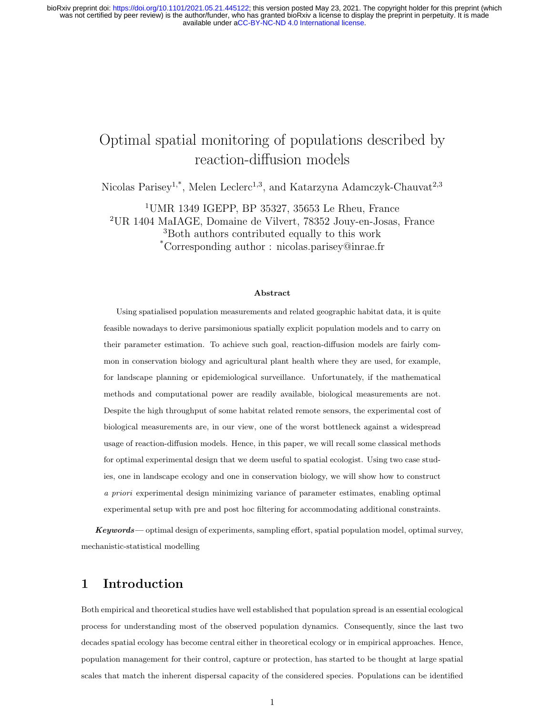## Optimal spatial monitoring of populations described by reaction-diffusion models

Nicolas Parisey<sup>1,\*</sup>, Melen Leclerc<sup>1,3</sup>, and Katarzyna Adamczyk-Chauvat<sup>2,3</sup>

UMR 1349 IGEPP, BP 35327, 35653 Le Rheu, France UR 1404 MaIAGE, Domaine de Vilvert, 78352 Jouy-en-Josas, France Both authors contributed equally to this work \*Corresponding author : nicolas.parisey@inrae.fr

#### Abstract

Using spatialised population measurements and related geographic habitat data, it is quite feasible nowadays to derive parsimonious spatially explicit population models and to carry on their parameter estimation. To achieve such goal, reaction-diffusion models are fairly common in conservation biology and agricultural plant health where they are used, for example, for landscape planning or epidemiological surveillance. Unfortunately, if the mathematical methods and computational power are readily available, biological measurements are not. Despite the high throughput of some habitat related remote sensors, the experimental cost of biological measurements are, in our view, one of the worst bottleneck against a widespread usage of reaction-diffusion models. Hence, in this paper, we will recall some classical methods for optimal experimental design that we deem useful to spatial ecologist. Using two case studies, one in landscape ecology and one in conservation biology, we will show how to construct a priori experimental design minimizing variance of parameter estimates, enabling optimal experimental setup with pre and post hoc filtering for accommodating additional constraints.

Keywords— optimal design of experiments, sampling effort, spatial population model, optimal survey, mechanistic-statistical modelling

#### 1 Introduction

Both empirical and theoretical studies have well established that population spread is an essential ecological process for understanding most of the observed population dynamics. Consequently, since the last two decades spatial ecology has become central either in theoretical ecology or in empirical approaches. Hence, population management for their control, capture or protection, has started to be thought at large spatial scales that match the inherent dispersal capacity of the considered species. Populations can be identified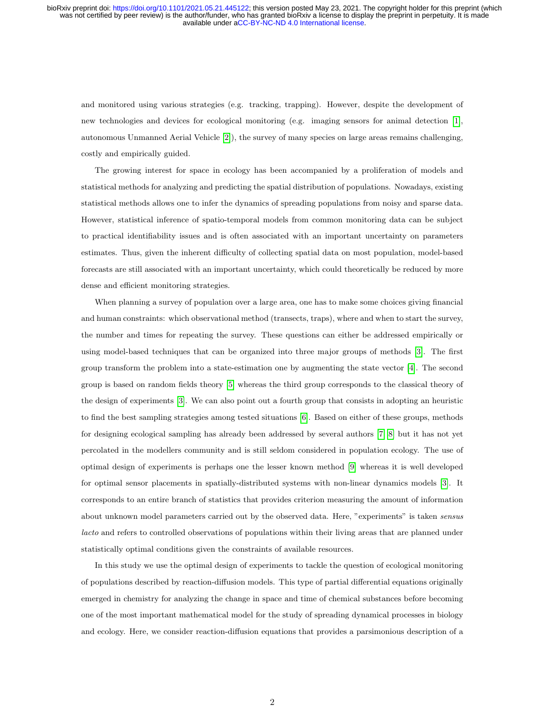and monitored using various strategies (e.g. tracking, trapping). However, despite the development of new technologies and devices for ecological monitoring (e.g. imaging sensors for animal detection [\[1\]](#page-21-0), autonomous Unmanned Aerial Vehicle [\[2\]](#page-21-1)), the survey of many species on large areas remains challenging, costly and empirically guided.

The growing interest for space in ecology has been accompanied by a proliferation of models and statistical methods for analyzing and predicting the spatial distribution of populations. Nowadays, existing statistical methods allows one to infer the dynamics of spreading populations from noisy and sparse data. However, statistical inference of spatio-temporal models from common monitoring data can be subject to practical identifiability issues and is often associated with an important uncertainty on parameters estimates. Thus, given the inherent difficulty of collecting spatial data on most population, model-based forecasts are still associated with an important uncertainty, which could theoretically be reduced by more dense and efficient monitoring strategies.

When planning a survey of population over a large area, one has to make some choices giving financial and human constraints: which observational method (transects, traps), where and when to start the survey, the number and times for repeating the survey. These questions can either be addressed empirically or using model-based techniques that can be organized into three major groups of methods [\[3\]](#page-21-2). The first group transform the problem into a state-estimation one by augmenting the state vector [\[4\]](#page-21-3). The second group is based on random fields theory [\[5\]](#page-21-4) whereas the third group corresponds to the classical theory of the design of experiments [\[3\]](#page-21-2). We can also point out a fourth group that consists in adopting an heuristic to find the best sampling strategies among tested situations [\[6\]](#page-21-5). Based on either of these groups, methods for designing ecological sampling has already been addressed by several authors [\[7,](#page-21-6) [8\]](#page-21-7) but it has not yet percolated in the modellers community and is still seldom considered in population ecology. The use of optimal design of experiments is perhaps one the lesser known method [\[9\]](#page-21-8) whereas it is well developed for optimal sensor placements in spatially-distributed systems with non-linear dynamics models [\[3\]](#page-21-2). It corresponds to an entire branch of statistics that provides criterion measuring the amount of information about unknown model parameters carried out by the observed data. Here, "experiments" is taken sensus lacto and refers to controlled observations of populations within their living areas that are planned under statistically optimal conditions given the constraints of available resources.

In this study we use the optimal design of experiments to tackle the question of ecological monitoring of populations described by reaction-diffusion models. This type of partial differential equations originally emerged in chemistry for analyzing the change in space and time of chemical substances before becoming one of the most important mathematical model for the study of spreading dynamical processes in biology and ecology. Here, we consider reaction-diffusion equations that provides a parsimonious description of a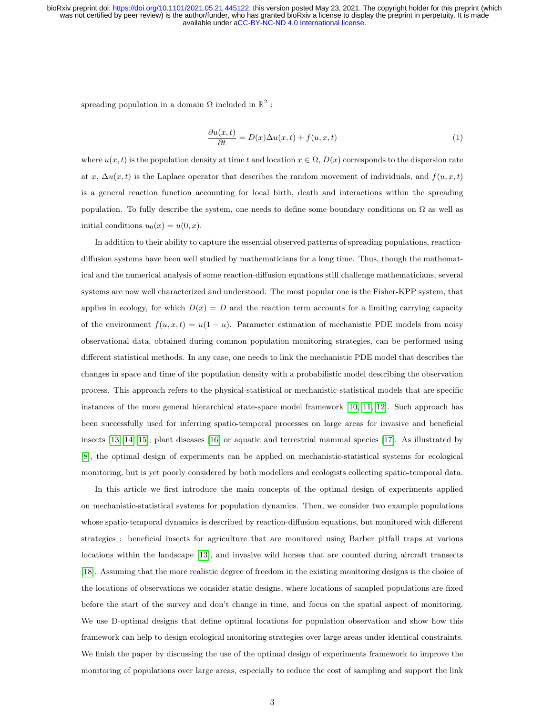spreading population in a domain  $\Omega$  included in  $\mathbb{R}^2$ :

$$
\frac{\partial u(x,t)}{\partial t} = D(x)\Delta u(x,t) + f(u,x,t)
$$
\n(1)

where  $u(x, t)$  is the population density at time t and location  $x \in \Omega$ ,  $D(x)$  corresponds to the dispersion rate at x,  $\Delta u(x, t)$  is the Laplace operator that describes the random movement of individuals, and  $f(u, x, t)$ is a general reaction function accounting for local birth, death and interactions within the spreading population. To fully describe the system, one needs to define some boundary conditions on  $\Omega$  as well as initial conditions  $u_0(x) = u(0, x)$ .

In addition to their ability to capture the essential observed patterns of spreading populations, reactiondiffusion systems have been well studied by mathematicians for a long time. Thus, though the mathematical and the numerical analysis of some reaction-diffusion equations still challenge mathematicians, several systems are now well characterized and understood. The most popular one is the Fisher-KPP system, that applies in ecology, for which  $D(x) = D$  and the reaction term accounts for a limiting carrying capacity of the environment  $f(u, x, t) = u(1 - u)$ . Parameter estimation of mechanistic PDE models from noisy observational data, obtained during common population monitoring strategies, can be performed using different statistical methods. In any case, one needs to link the mechanistic PDE model that describes the changes in space and time of the population density with a probabilistic model describing the observation process. This approach refers to the physical-statistical or mechanistic-statistical models that are specific instances of the more general hierarchical state-space model framework [\[10,](#page-21-9) [11,](#page-21-10) [12\]](#page-22-0). Such approach has been successfully used for inferring spatio-temporal processes on large areas for invasive and beneficial insects [\[13,](#page-22-1) [14,](#page-22-2) [15\]](#page-22-3), plant diseases [\[16\]](#page-22-4) or aquatic and terrestrial mammal species [\[17\]](#page-22-5). As illustrated by [\[8\]](#page-21-7), the optimal design of experiments can be applied on mechanistic-statistical systems for ecological monitoring, but is yet poorly considered by both modellers and ecologists collecting spatio-temporal data.

In this article we first introduce the main concepts of the optimal design of experiments applied on mechanistic-statistical systems for population dynamics. Then, we consider two example populations whose spatio-temporal dynamics is described by reaction-diffusion equations, but monitored with different strategies : beneficial insects for agriculture that are monitored using Barber pitfall traps at various locations within the landscape [\[13\]](#page-22-1), and invasive wild horses that are counted during aircraft transects [\[18\]](#page-22-6). Assuming that the more realistic degree of freedom in the existing monitoring designs is the choice of the locations of observations we consider static designs, where locations of sampled populations are fixed before the start of the survey and don't change in time, and focus on the spatial aspect of monitoring. We use D-optimal designs that define optimal locations for population observation and show how this framework can help to design ecological monitoring strategies over large areas under identical constraints. We finish the paper by discussing the use of the optimal design of experiments framework to improve the monitoring of populations over large areas, especially to reduce the cost of sampling and support the link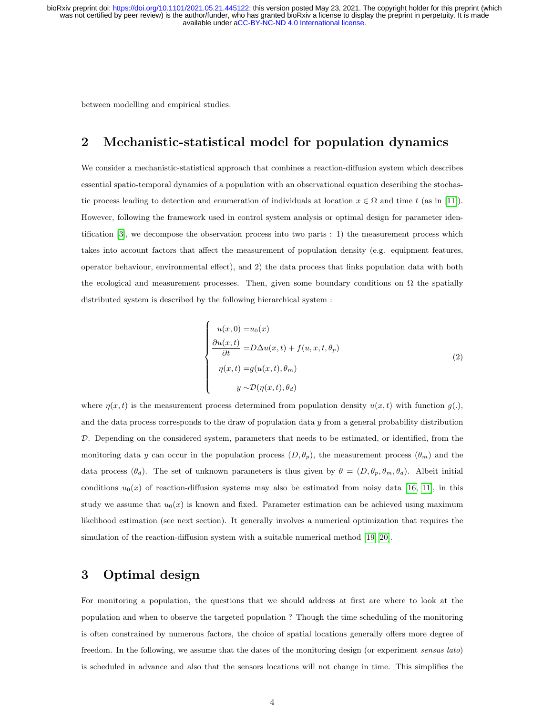between modelling and empirical studies.

### <span id="page-3-1"></span>2 Mechanistic-statistical model for population dynamics

We consider a mechanistic-statistical approach that combines a reaction-diffusion system which describes essential spatio-temporal dynamics of a population with an observational equation describing the stochastic process leading to detection and enumeration of individuals at location  $x \in \Omega$  and time t (as in [\[11\]](#page-21-10)). However, following the framework used in control system analysis or optimal design for parameter identification [\[3\]](#page-21-2), we decompose the observation process into two parts : 1) the measurement process which takes into account factors that affect the measurement of population density (e.g. equipment features, operator behaviour, environmental effect), and 2) the data process that links population data with both the ecological and measurement processes. Then, given some boundary conditions on  $\Omega$  the spatially distributed system is described by the following hierarchical system :

$$
\begin{cases}\nu(x,0) = u_0(x) \\
\frac{\partial u(x,t)}{\partial t} = D\Delta u(x,t) + f(u,x,t,\theta_p) \\
\eta(x,t) = g(u(x,t),\theta_m) \\
y \sim \mathcal{D}(\eta(x,t),\theta_d)\n\end{cases}
$$
\n(2)

<span id="page-3-0"></span>where  $\eta(x, t)$  is the measurement process determined from population density  $u(x, t)$  with function  $g(.)$ , and the data process corresponds to the draw of population data  $y$  from a general probability distribution  $D$ . Depending on the considered system, parameters that needs to be estimated, or identified, from the monitoring data y can occur in the population process  $(D, \theta_p)$ , the measurement process  $(\theta_m)$  and the data process  $(\theta_d)$ . The set of unknown parameters is thus given by  $\theta = (D, \theta_p, \theta_m, \theta_d)$ . Albeit initial conditions  $u_0(x)$  of reaction-diffusion systems may also be estimated from noisy data [\[16,](#page-22-4) [11\]](#page-21-10), in this study we assume that  $u_0(x)$  is known and fixed. Parameter estimation can be achieved using maximum likelihood estimation (see next section). It generally involves a numerical optimization that requires the simulation of the reaction-diffusion system with a suitable numerical method [\[19,](#page-22-7) [20\]](#page-22-8).

#### 3 Optimal design

For monitoring a population, the questions that we should address at first are where to look at the population and when to observe the targeted population ? Though the time scheduling of the monitoring is often constrained by numerous factors, the choice of spatial locations generally offers more degree of freedom. In the following, we assume that the dates of the monitoring design (or experiment sensus lato) is scheduled in advance and also that the sensors locations will not change in time. This simplifies the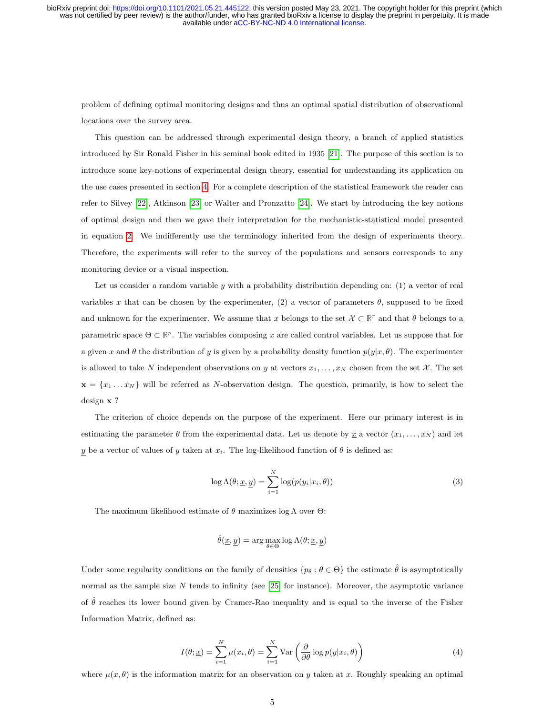problem of defining optimal monitoring designs and thus an optimal spatial distribution of observational locations over the survey area.

This question can be addressed through experimental design theory, a branch of applied statistics introduced by Sir Ronald Fisher in his seminal book edited in 1935 [\[21\]](#page-22-9). The purpose of this section is to introduce some key-notions of experimental design theory, essential for understanding its application on the use cases presented in section [4.](#page-7-0) For a complete description of the statistical framework the reader can refer to Silvey [\[22\]](#page-22-10), Atkinson [\[23\]](#page-22-11) or Walter and Pronzatto [\[24\]](#page-22-12). We start by introducing the key notions of optimal design and then we gave their interpretation for the mechanistic-statistical model presented in equation [2.](#page-3-0) We indifferently use the terminology inherited from the design of experiments theory. Therefore, the experiments will refer to the survey of the populations and sensors corresponds to any monitoring device or a visual inspection.

Let us consider a random variable  $y$  with a probability distribution depending on: (1) a vector of real variables x that can be chosen by the experimenter, (2) a vector of parameters  $\theta$ , supposed to be fixed and unknown for the experimenter. We assume that x belongs to the set  $\mathcal{X} \subset \mathbb{R}^r$  and that  $\theta$  belongs to a parametric space  $\Theta \subset \mathbb{R}^p$ . The variables composing x are called control variables. Let us suppose that for a given x and  $\theta$  the distribution of y is given by a probability density function  $p(y|x, \theta)$ . The experimenter is allowed to take N independent observations on y at vectors  $x_1, \ldots, x_N$  chosen from the set X. The set  $\mathbf{x} = \{x_1 \dots x_N\}$  will be referred as N-observation design. The question, primarily, is how to select the design x ?

The criterion of choice depends on the purpose of the experiment. Here our primary interest is in estimating the parameter  $\theta$  from the experimental data. Let us denote by  $\underline{x}$  a vector  $(x_1, \ldots, x_N)$  and let y be a vector of values of y taken at  $x_i$ . The log-likelihood function of  $\theta$  is defined as:

<span id="page-4-1"></span>
$$
\log \Lambda(\theta; \underline{x}, \underline{y}) = \sum_{i=1}^{N} \log(p(y_i | x_i, \theta))
$$
\n(3)

The maximum likelihood estimate of  $\theta$  maximizes log  $\Lambda$  over  $\Theta$ :

$$
\hat{\theta}(\underline{x}, \underline{y}) = \arg \max_{\theta \in \Theta} \log \Lambda(\theta; \underline{x}, \underline{y})
$$

Under some regularity conditions on the family of densities  $\{p_\theta : \theta \in \Theta\}$  the estimate  $\hat{\theta}$  is asymptotically normal as the sample size  $N$  tends to infinity (see [\[25\]](#page-22-13) for instance). Moreover, the asymptotic variance of  $\hat{\theta}$  reaches its lower bound given by Cramer-Rao inequality and is equal to the inverse of the Fisher Information Matrix, defined as:

$$
I(\theta; \underline{x}) = \sum_{i=1}^{N} \mu(x_i, \theta) = \sum_{i=1}^{N} \text{Var}\left(\frac{\partial}{\partial \theta} \log p(y|x_i, \theta)\right)
$$
(4)

<span id="page-4-0"></span>where  $\mu(x, \theta)$  is the information matrix for an observation on y taken at x. Roughly speaking an optimal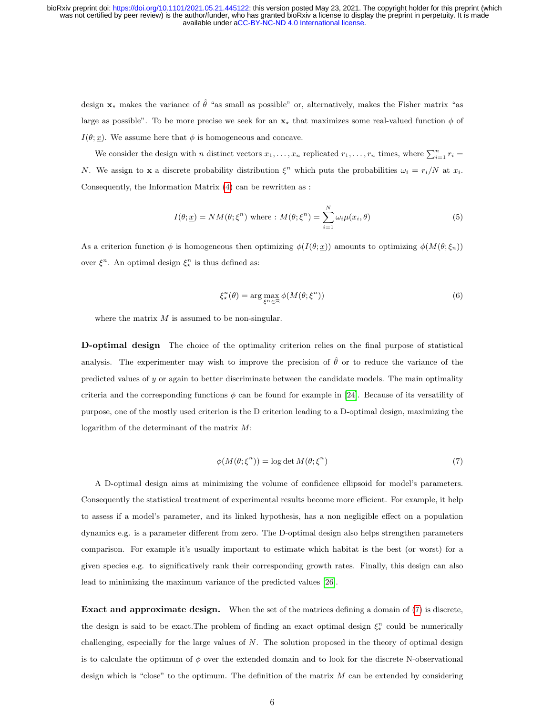design  $x_{\star}$  makes the variance of  $\hat{\theta}$  "as small as possible" or, alternatively, makes the Fisher matrix "as large as possible". To be more precise we seek for an  $x<sub>x</sub>$  that maximizes some real-valued function  $\phi$  of  $I(\theta; \underline{x})$ . We assume here that  $\phi$  is homogeneous and concave.

We consider the design with *n* distinct vectors  $x_1, \ldots, x_n$  replicated  $r_1, \ldots, r_n$  times, where  $\sum_{i=1}^n r_i =$ N. We assign to x a discrete probability distribution  $\xi^n$  which puts the probabilities  $\omega_i = r_i/N$  at  $x_i$ . Consequently, the Information Matrix [\(4\)](#page-4-0) can be rewritten as :

<span id="page-5-1"></span>
$$
I(\theta; \underline{x}) = NM(\theta; \xi^n) \text{ where : } M(\theta; \xi^n) = \sum_{i=1}^N \omega_i \mu(x_i, \theta)
$$
\n
$$
(5)
$$

As a criterion function  $\phi$  is homogeneous then optimizing  $\phi(I(\theta; \underline{x}))$  amounts to optimizing  $\phi(M(\theta; \xi_n))$ over  $\xi^n$ . An optimal design  $\xi^n_*$  is thus defined as:

$$
\xi_{\star}^{n}(\theta) = \arg \max_{\xi^{n} \in \Xi} \phi(M(\theta; \xi^{n})) \tag{6}
$$

where the matrix  $M$  is assumed to be non-singular.

D-optimal design The choice of the optimality criterion relies on the final purpose of statistical analysis. The experimenter may wish to improve the precision of  $\hat{\theta}$  or to reduce the variance of the predicted values of  $y$  or again to better discriminate between the candidate models. The main optimality criteria and the corresponding functions  $\phi$  can be found for example in [\[24\]](#page-22-12). Because of its versatility of purpose, one of the mostly used criterion is the D criterion leading to a D-optimal design, maximizing the logarithm of the determinant of the matrix M:

$$
\phi(M(\theta; \xi^n)) = \log \det M(\theta; \xi^n)
$$
\n<sup>(7)</sup>

<span id="page-5-0"></span>A D-optimal design aims at minimizing the volume of confidence ellipsoid for model's parameters. Consequently the statistical treatment of experimental results become more efficient. For example, it help to assess if a model's parameter, and its linked hypothesis, has a non negligible effect on a population dynamics e.g. is a parameter different from zero. The D-optimal design also helps strengthen parameters comparison. For example it's usually important to estimate which habitat is the best (or worst) for a given species e.g. to significatively rank their corresponding growth rates. Finally, this design can also lead to minimizing the maximum variance of the predicted values [\[26\]](#page-23-0).

Exact and approximate design. When the set of the matrices defining a domain of [\(7\)](#page-5-0) is discrete, the design is said to be exact. The problem of finding an exact optimal design  $\xi_{\star}^{n}$  could be numerically challenging, especially for the large values of  $N$ . The solution proposed in the theory of optimal design is to calculate the optimum of  $\phi$  over the extended domain and to look for the discrete N-observational design which is "close" to the optimum. The definition of the matrix  $M$  can be extended by considering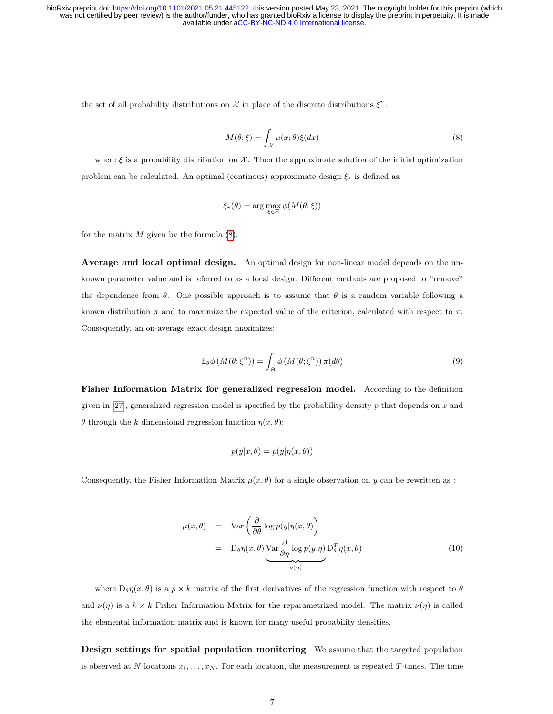<span id="page-6-0"></span>the set of all probability distributions on X in place of the discrete distributions  $\xi^n$ :

$$
M(\theta; \xi) = \int_{\mathcal{X}} \mu(x; \theta) \xi(dx) \tag{8}
$$

where  $\xi$  is a probability distribution on X. Then the approximate solution of the initial optimization problem can be calculated. An optimal (continous) approximate design  $\xi_{\star}$  is defined as:

$$
\xi_{\star}(\theta) = \arg \max_{\xi \in \Xi} \phi(M(\theta; \xi))
$$

for the matrix  $M$  given by the formula  $(8)$ .

Average and local optimal design. An optimal design for non-linear model depends on the unknown parameter value and is referred to as a local design. Different methods are proposed to "remove" the dependence from  $\theta$ . One possible approach is to assume that  $\theta$  is a random variable following a known distribution  $\pi$  and to maximize the expected value of the criterion, calculated with respect to  $\pi$ . Consequently, an on-average exact design maximizes:

$$
\mathbb{E}_{\theta}\phi\left(M(\theta;\xi^{n})\right) = \int_{\Theta}\phi\left(M(\theta;\xi^{n})\right)\pi(d\theta)
$$
\n(9)

Fisher Information Matrix for generalized regression model. According to the definition given in [\[27\]](#page-23-1), generalized regression model is specified by the probability density  $p$  that depends on  $x$  and θ through the k dimensional regression function η(x, θ):

$$
p(y|x,\theta) = p(y|\eta(x,\theta))
$$

Consequently, the Fisher Information Matrix  $\mu(x, \theta)$  for a single observation on y can be rewritten as :

<span id="page-6-1"></span>
$$
\mu(x,\theta) = \text{Var}\left(\frac{\partial}{\partial \theta} \log p(y|\eta(x,\theta))\right)
$$
  
= 
$$
\text{D}_{\theta}\eta(x,\theta) \underbrace{\text{Var}\frac{\partial}{\partial \eta} \log p(y|\eta)}_{\nu(\eta)} \text{D}_{\theta}^{T} \eta(x,\theta)
$$
 (10)

where  $D_{\theta} \eta(x, \theta)$  is a  $p \times k$  matrix of the first derivatives of the regression function with respect to  $\theta$ and  $\nu(\eta)$  is a  $k \times k$  Fisher Information Matrix for the reparametrized model. The matrix  $\nu(\eta)$  is called the elemental information matrix and is known for many useful probability densities.

Design settings for spatial population monitoring We assume that the targeted population is observed at N locations  $x_i, \ldots, x_N$ . For each location, the measurement is repeated T-times. The time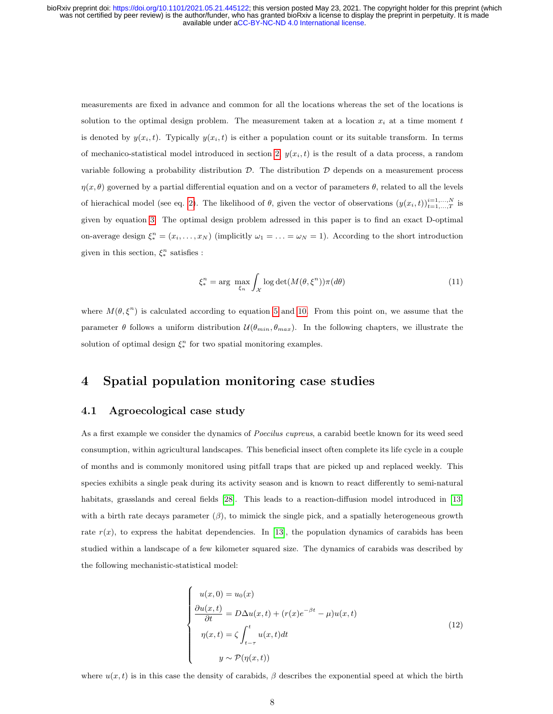measurements are fixed in advance and common for all the locations whereas the set of the locations is solution to the optimal design problem. The measurement taken at a location  $x_i$  at a time moment t is denoted by  $y(x_i, t)$ . Typically  $y(x_i, t)$  is either a population count or its suitable transform. In terms of mechanico-statistical model introduced in section [2,](#page-3-1)  $y(x_i, t)$  is the result of a data process, a random variable following a probability distribution  $\mathcal{D}$ . The distribution  $\mathcal{D}$  depends on a measurement process  $\eta(x, \theta)$  governed by a partial differential equation and on a vector of parameters  $\theta$ , related to all the levels of hierachical model (see eq. [2\)](#page-3-0). The likelihood of  $\theta$ , given the vector of observations  $(y(x_i, t))_{t=1,\ldots,T}^{i=1,\ldots,N}$  is given by equation [3.](#page-4-1) The optimal design problem adressed in this paper is to find an exact D-optimal on-average design  $\xi_*^n = (x_i, \ldots, x_N)$  (implicitly  $\omega_1 = \ldots = \omega_N = 1$ ). According to the short introduction given in this section,  $\xi_*^n$  satisfies :

<span id="page-7-1"></span>
$$
\xi_*^n = \arg \ \max_{\xi_n} \int_{\mathcal{X}} \log \det(M(\theta, \xi^n)) \pi(d\theta) \tag{11}
$$

where  $M(\theta, \xi^n)$  is calculated according to equation [5](#page-5-1) and [10.](#page-6-1) From this point on, we assume that the parameter  $\theta$  follows a uniform distribution  $\mathcal{U}(\theta_{min}, \theta_{max})$ . In the following chapters, we illustrate the solution of optimal design  $\xi_*^n$  for two spatial monitoring examples.

#### <span id="page-7-0"></span>4 Spatial population monitoring case studies

#### 4.1 Agroecological case study

As a first example we consider the dynamics of *Poecilus cupreus*, a carabid beetle known for its weed seed consumption, within agricultural landscapes. This beneficial insect often complete its life cycle in a couple of months and is commonly monitored using pitfall traps that are picked up and replaced weekly. This species exhibits a single peak during its activity season and is known to react differently to semi-natural habitats, grasslands and cereal fields [\[28\]](#page-23-2). This leads to a reaction-diffusion model introduced in [\[13\]](#page-22-1) with a birth rate decays parameter  $(\beta)$ , to mimick the single pick, and a spatially heterogeneous growth rate  $r(x)$ , to express the habitat dependencies. In [\[13\]](#page-22-1), the population dynamics of carabids has been studied within a landscape of a few kilometer squared size. The dynamics of carabids was described by the following mechanistic-statistical model:

$$
\begin{cases}\nu(x,0) = u_0(x) \\
\frac{\partial u(x,t)}{\partial t} = D\Delta u(x,t) + (r(x)e^{-\beta t} - \mu)u(x,t) \\
\eta(x,t) = \zeta \int_{t-\tau}^t u(x,t)dt \\
y \sim \mathcal{P}(\eta(x,t))\n\end{cases} (12)
$$

where  $u(x, t)$  is in this case the density of carabids,  $\beta$  describes the exponential speed at which the birth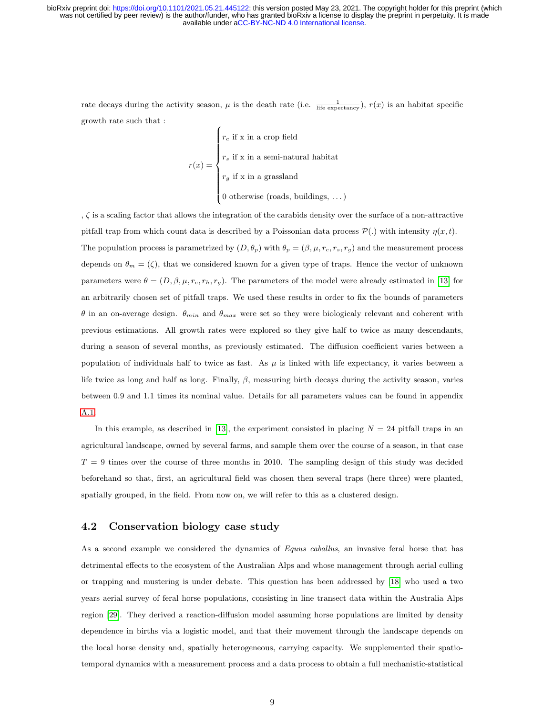rate decays during the activity season,  $\mu$  is the death rate (i.e.  $\frac{1}{\text{life expectedancy}}$ ),  $r(x)$  is an habitat specific growth rate such that :

$$
r(x) = \begin{cases} r_c \text{ if } x \text{ in a crop field} \\ r_s \text{ if } x \text{ in a semi-natural habitat} \\ r_g \text{ if } x \text{ in a grassland} \\ 0 \text{ otherwise (roads, buildings, ...)} \end{cases}
$$

, ζ is a scaling factor that allows the integration of the carabids density over the surface of a non-attractive pitfall trap from which count data is described by a Poissonian data process  $\mathcal{P}(\cdot)$  with intensity  $\eta(x,t)$ . The population process is parametrized by  $(D, \theta_p)$  with  $\theta_p = (\beta, \mu, r_c, r_s, r_g)$  and the measurement process depends on  $\theta_m = (\zeta)$ , that we considered known for a given type of traps. Hence the vector of unknown parameters were  $\theta = (D, \beta, \mu, r_c, r_h, r_g)$ . The parameters of the model were already estimated in [\[13\]](#page-22-1) for an arbitrarily chosen set of pitfall traps. We used these results in order to fix the bounds of parameters θ in an on-average design.  $θ_{min}$  and  $θ_{max}$  were set so they were biologicaly relevant and coherent with previous estimations. All growth rates were explored so they give half to twice as many descendants, during a season of several months, as previously estimated. The diffusion coefficient varies between a population of individuals half to twice as fast. As  $\mu$  is linked with life expectancy, it varies between a life twice as long and half as long. Finally,  $\beta$ , measuring birth decays during the activity season, varies between 0.9 and 1.1 times its nominal value. Details for all parameters values can be found in appendix [A.1.](#page-25-0)

In this example, as described in [\[13\]](#page-22-1), the experiment consisted in placing  $N = 24$  pitfall traps in an agricultural landscape, owned by several farms, and sample them over the course of a season, in that case  $T = 9$  times over the course of three months in 2010. The sampling design of this study was decided beforehand so that, first, an agricultural field was chosen then several traps (here three) were planted, spatially grouped, in the field. From now on, we will refer to this as a clustered design.

#### 4.2 Conservation biology case study

As a second example we considered the dynamics of *Equus caballus*, an invasive feral horse that has detrimental effects to the ecosystem of the Australian Alps and whose management through aerial culling or trapping and mustering is under debate. This question has been addressed by [\[18\]](#page-22-6) who used a two years aerial survey of feral horse populations, consisting in line transect data within the Australia Alps region [\[29\]](#page-23-3). They derived a reaction-diffusion model assuming horse populations are limited by density dependence in births via a logistic model, and that their movement through the landscape depends on the local horse density and, spatially heterogeneous, carrying capacity. We supplemented their spatiotemporal dynamics with a measurement process and a data process to obtain a full mechanistic-statistical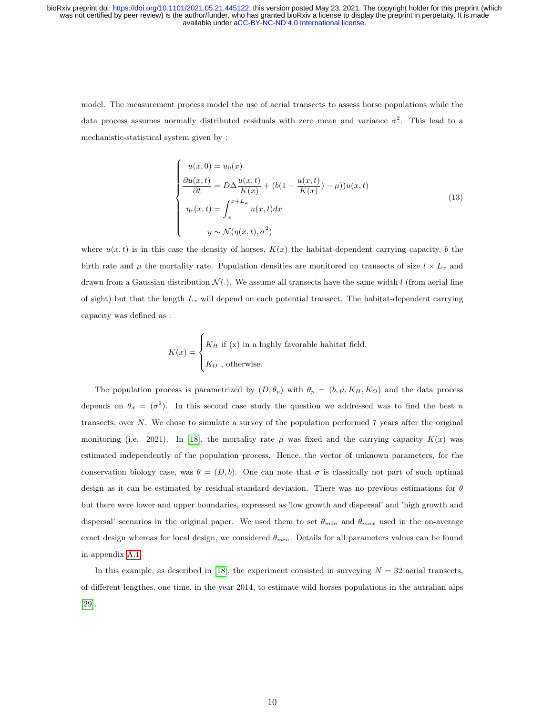model. The measurement process model the use of aerial transects to assess horse populations while the data process assumes normally distributed residuals with zero mean and variance  $\sigma^2$ . This lead to a mechanistic-statistical system given by :

$$
\begin{cases}\nu(x,0) = u_0(x) \\
\frac{\partial u(x,t)}{\partial t} = D\Delta \frac{u(x,t)}{K(x)} + (b(1 - \frac{u(x,t)}{K(x)}) - \mu))u(x,t) \\
\eta_c(x,t) = \int_x^{x+L_x} u(x,t)dx \\
y \sim \mathcal{N}(\eta(x,t), \sigma^2)\n\end{cases}
$$
\n(13)

where  $u(x, t)$  is in this case the density of horses,  $K(x)$  the habitat-dependent carrying capacity, b the birth rate and  $\mu$  the mortality rate. Population densities are monitored on transects of size  $l \times L_x$  and drawn from a Gaussian distribution  $\mathcal{N}(.)$ . We assume all transects have the same width l (from aerial line of sight) but that the length  $L_x$  will depend on each potential transect. The habitat-dependent carrying capacity was defined as :

$$
K(x) = \begin{cases} K_H \text{ if (x) in a highly favorable habitat field,} \\ K_O \text{ , otherwise.} \end{cases}
$$

The population process is parametrized by  $(D, \theta_p)$  with  $\theta_p = (b, \mu, K_H, K_O)$  and the data process depends on  $\theta_d = (\sigma^2)$ . In this second case study the question we addressed was to find the best n transects, over N. We chose to simulate a survey of the population performed 7 years after the original monitoring (i.e. 2021). In [\[18\]](#page-22-6), the mortality rate  $\mu$  was fixed and the carrying capacity  $K(x)$  was estimated independently of the population process. Hence, the vector of unknown parameters, for the conservation biology case, was  $\theta = (D, b)$ . One can note that  $\sigma$  is classically not part of such optimal design as it can be estimated by residual standard deviation. There was no previous estimations for  $\theta$ but there were lower and upper boundaries, expressed as 'low growth and dispersal' and 'high growth and dispersal' scenarios in the original paper. We used them to set  $\theta_{min}$  and  $\theta_{max}$  used in the on-average exact design whereas for local design, we considered  $\theta_{min}$ . Details for all parameters values can be found in appendix [A.1.](#page-25-0)

In this example, as described in [\[18\]](#page-22-6), the experiment consisted in surveying  $N = 32$  aerial transects, of different lengthes, one time, in the year 2014, to estimate wild horses populations in the autralian alps [\[29\]](#page-23-3).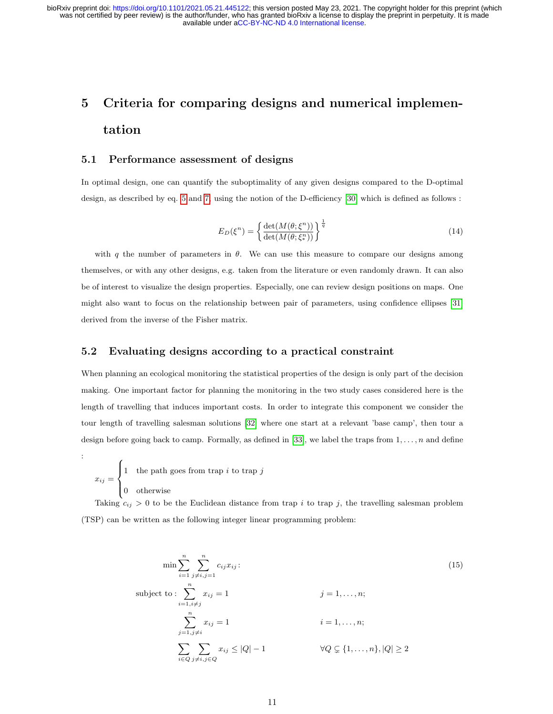# 5 Criteria for comparing designs and numerical implementation

#### 5.1 Performance assessment of designs

In optimal design, one can quantify the suboptimality of any given designs compared to the D-optimal design, as described by eq. [5](#page-5-1) and [7,](#page-5-0) using the notion of the D-efficiency [\[30\]](#page-23-4) which is defined as follows :

$$
E_D(\xi^n) = \left\{ \frac{\det(M(\theta; \xi^n))}{\det(M(\theta; \xi^n))} \right\}^{\frac{1}{q}}
$$
\n(14)

with q the number of parameters in  $\theta$ . We can use this measure to compare our designs among themselves, or with any other designs, e.g. taken from the literature or even randomly drawn. It can also be of interest to visualize the design properties. Especially, one can review design positions on maps. One might also want to focus on the relationship between pair of parameters, using confidence ellipses [\[31\]](#page-23-5) derived from the inverse of the Fisher matrix.

#### 5.2 Evaluating designs according to a practical constraint

When planning an ecological monitoring the statistical properties of the design is only part of the decision making. One important factor for planning the monitoring in the two study cases considered here is the length of travelling that induces important costs. In order to integrate this component we consider the tour length of travelling salesman solutions [\[32\]](#page-23-6) where one start at a relevant 'base camp', then tour a design before going back to camp. Formally, as defined in [\[33\]](#page-23-7), we label the traps from  $1, \ldots, n$  and define

$$
x_{ij} = \begin{cases} 1 & \text{the path goes from trap } i \text{ to trap } j \\ 0 & \text{otherwise} \end{cases}
$$

:

Taking  $c_{ij} > 0$  to be the Euclidean distance from trap i to trap j, the travelling salesman problem (TSP) can be written as the following integer linear programming problem:

<span id="page-10-0"></span>
$$
\min \sum_{i=1}^{n} \sum_{j \neq i, j=1}^{n} c_{ij} x_{ij}:
$$
\n
$$
\text{subject to:} \sum_{i=1, i \neq j}^{n} x_{ij} = 1 \qquad j = 1, \dots, n;
$$
\n
$$
\sum_{j=1, j \neq i}^{n} x_{ij} = 1 \qquad i = 1, \dots, n;
$$
\n
$$
\sum_{i \in Q} \sum_{j \neq i, j \in Q} x_{ij} \leq |Q| - 1 \qquad \forall Q \subsetneq \{1, \dots, n\}, |Q| \geq 2
$$
\n
$$
(15)
$$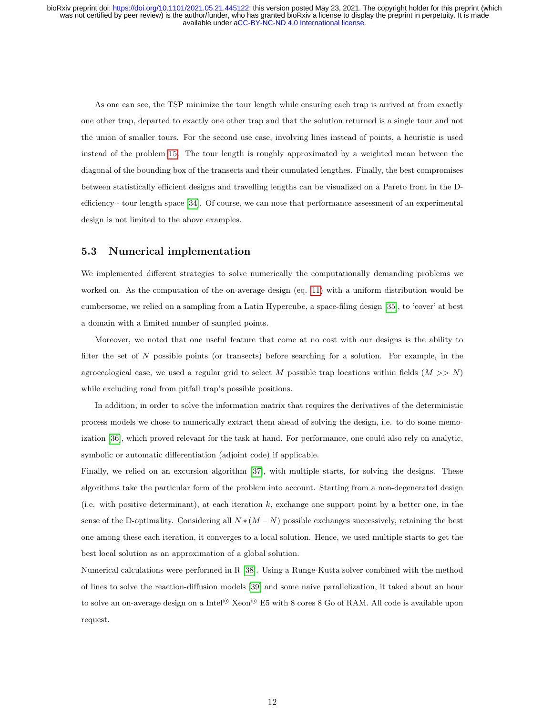As one can see, the TSP minimize the tour length while ensuring each trap is arrived at from exactly one other trap, departed to exactly one other trap and that the solution returned is a single tour and not the union of smaller tours. For the second use case, involving lines instead of points, a heuristic is used instead of the problem [15.](#page-10-0) The tour length is roughly approximated by a weighted mean between the diagonal of the bounding box of the transects and their cumulated lengthes. Finally, the best compromises between statistically efficient designs and travelling lengths can be visualized on a Pareto front in the Defficiency - tour length space [\[34\]](#page-23-8). Of course, we can note that performance assessment of an experimental design is not limited to the above examples.

#### 5.3 Numerical implementation

We implemented different strategies to solve numerically the computationally demanding problems we worked on. As the computation of the on-average design (eq. [11\)](#page-7-1) with a uniform distribution would be cumbersome, we relied on a sampling from a Latin Hypercube, a space-filing design [\[35\]](#page-23-9), to 'cover' at best a domain with a limited number of sampled points.

Moreover, we noted that one useful feature that come at no cost with our designs is the ability to filter the set of N possible points (or transects) before searching for a solution. For example, in the agroecological case, we used a regular grid to select M possible trap locations within fields  $(M >> N)$ while excluding road from pitfall trap's possible positions.

In addition, in order to solve the information matrix that requires the derivatives of the deterministic process models we chose to numerically extract them ahead of solving the design, i.e. to do some memoization [\[36\]](#page-23-10), which proved relevant for the task at hand. For performance, one could also rely on analytic, symbolic or automatic differentiation (adjoint code) if applicable.

Finally, we relied on an excursion algorithm [\[37\]](#page-23-11), with multiple starts, for solving the designs. These algorithms take the particular form of the problem into account. Starting from a non-degenerated design (i.e. with positive determinant), at each iteration  $k$ , exchange one support point by a better one, in the sense of the D-optimality. Considering all  $N*(M-N)$  possible exchanges successively, retaining the best one among these each iteration, it converges to a local solution. Hence, we used multiple starts to get the best local solution as an approximation of a global solution.

Numerical calculations were performed in R [\[38\]](#page-23-12). Using a Runge-Kutta solver combined with the method of lines to solve the reaction-diffusion models [\[39\]](#page-24-0) and some naive parallelization, it taked about an hour to solve an on-average design on a Intel® Xeon® E5 with 8 cores 8 Go of RAM. All code is available upon request.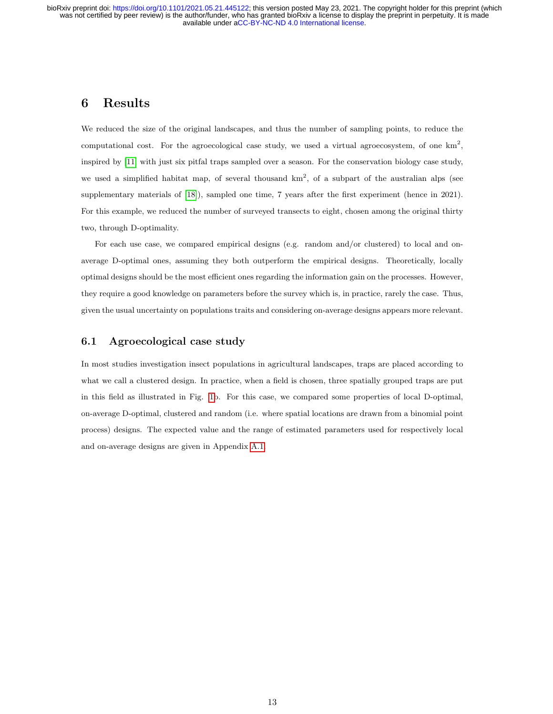#### 6 Results

We reduced the size of the original landscapes, and thus the number of sampling points, to reduce the computational cost. For the agroecological case study, we used a virtual agroecosystem, of one  $km^2$ , inspired by [\[11\]](#page-21-10) with just six pitfal traps sampled over a season. For the conservation biology case study, we used a simplified habitat map, of several thousand  $km^2$ , of a subpart of the australian alps (see supplementary materials of [\[18\]](#page-22-6)), sampled one time, 7 years after the first experiment (hence in 2021). For this example, we reduced the number of surveyed transects to eight, chosen among the original thirty two, through D-optimality.

For each use case, we compared empirical designs (e.g. random and/or clustered) to local and onaverage D-optimal ones, assuming they both outperform the empirical designs. Theoretically, locally optimal designs should be the most efficient ones regarding the information gain on the processes. However, they require a good knowledge on parameters before the survey which is, in practice, rarely the case. Thus, given the usual uncertainty on populations traits and considering on-average designs appears more relevant.

#### 6.1 Agroecological case study

In most studies investigation insect populations in agricultural landscapes, traps are placed according to what we call a clustered design. In practice, when a field is chosen, three spatially grouped traps are put in this field as illustrated in Fig. [1b](#page-13-0). For this case, we compared some properties of local D-optimal, on-average D-optimal, clustered and random (i.e. where spatial locations are drawn from a binomial point process) designs. The expected value and the range of estimated parameters used for respectively local and on-average designs are given in Appendix [A.1.](#page-25-0)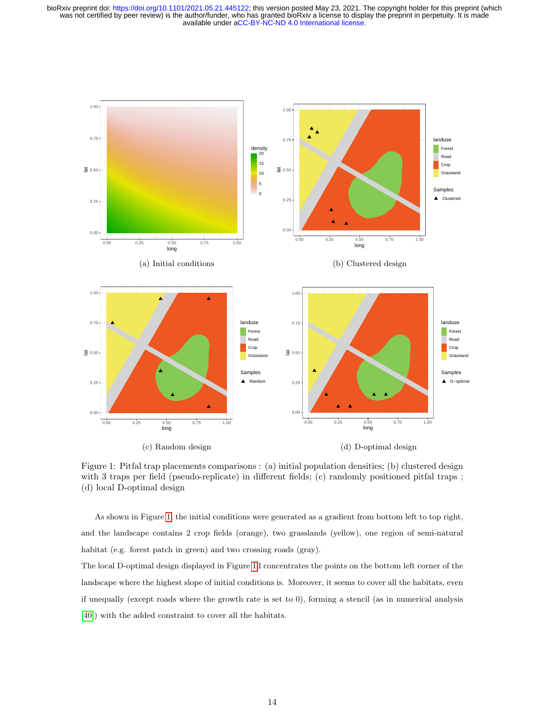<span id="page-13-0"></span>

Figure 1: Pitfal trap placements comparisons : (a) initial population densities; (b) clustered design with 3 traps per field (pseudo-replicate) in different fields; (c) randomly positioned pitfal traps ; (d) local D-optimal design

As shown in Figure [1,](#page-13-0) the initial conditions were generated as a gradient from bottom left to top right, and the landscape contains 2 crop fields (orange), two grasslands (yellow), one region of semi-natural habitat (e.g. forest patch in green) and two crossing roads (gray).

The local D-optimal design displayed in Figure [1d](#page-13-0) concentrates the points on the bottom left corner of the landscape where the highest slope of initial conditions is. Moreover, it seems to cover all the habitats, even if unequally (except roads where the growth rate is set to 0), forming a stencil (as in numerical analysis [\[40\]](#page-24-1)) with the added constraint to cover all the habitats.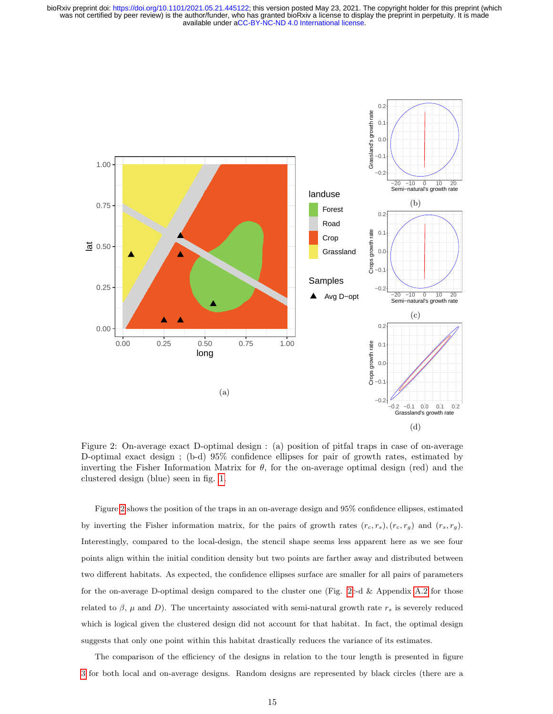<span id="page-14-0"></span>

Figure 2: On-average exact D-optimal design : (a) position of pitfal traps in case of on-average D-optimal exact design ; (b-d) 95% confidence ellipses for pair of growth rates, estimated by inverting the Fisher Information Matrix for  $\theta$ , for the on-average optimal design (red) and the clustered design (blue) seen in fig. [1.](#page-13-0)

Figure [2](#page-14-0) shows the position of the traps in an on-average design and 95% confidence ellipses, estimated by inverting the Fisher information matrix, for the pairs of growth rates  $(r_c, r_s)$ ,  $(r_c, r_g)$  and  $(r_s, r_g)$ . Interestingly, compared to the local-design, the stencil shape seems less apparent here as we see four points align within the initial condition density but two points are farther away and distributed between two different habitats. As expected, the confidence ellipses surface are smaller for all pairs of parameters for the on-average D-optimal design compared to the cluster one (Fig. [2c](#page-14-0)-d  $&$  Appendix [A.2](#page-25-1) for those related to  $\beta$ ,  $\mu$  and D). The uncertainty associated with semi-natural growth rate  $r_s$  is severely reduced which is logical given the clustered design did not account for that habitat. In fact, the optimal design suggests that only one point within this habitat drastically reduces the variance of its estimates.

The comparison of the efficiency of the designs in relation to the tour length is presented in figure [3](#page-15-0) for both local and on-average designs. Random designs are represented by black circles (there are a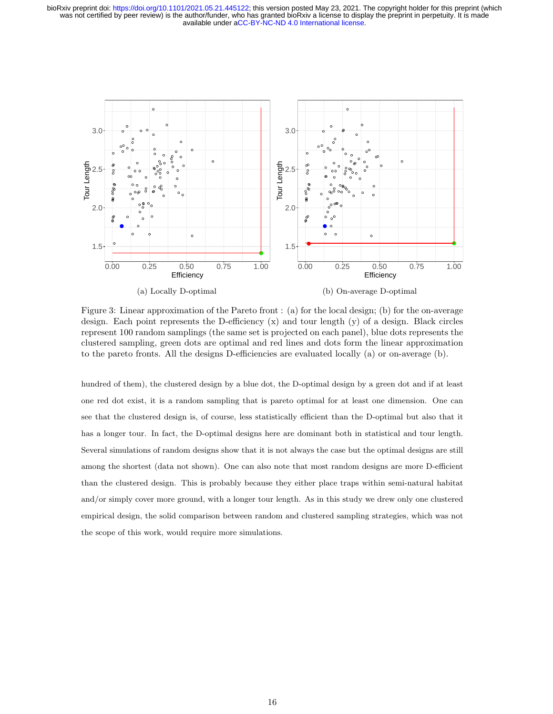<span id="page-15-0"></span>

(a) Locally D-optimal

(b) On-average D-optimal

Figure 3: Linear approximation of the Pareto front : (a) for the local design; (b) for the on-average design. Each point represents the D-efficiency (x) and tour length (y) of a design. Black circles represent 100 random samplings (the same set is projected on each panel), blue dots represents the clustered sampling, green dots are optimal and red lines and dots form the linear approximation to the pareto fronts. All the designs D-efficiencies are evaluated locally (a) or on-average (b).

hundred of them), the clustered design by a blue dot, the D-optimal design by a green dot and if at least one red dot exist, it is a random sampling that is pareto optimal for at least one dimension. One can see that the clustered design is, of course, less statistically efficient than the D-optimal but also that it has a longer tour. In fact, the D-optimal designs here are dominant both in statistical and tour length. Several simulations of random designs show that it is not always the case but the optimal designs are still among the shortest (data not shown). One can also note that most random designs are more D-efficient than the clustered design. This is probably because they either place traps within semi-natural habitat and/or simply cover more ground, with a longer tour length. As in this study we drew only one clustered empirical design, the solid comparison between random and clustered sampling strategies, which was not the scope of this work, would require more simulations.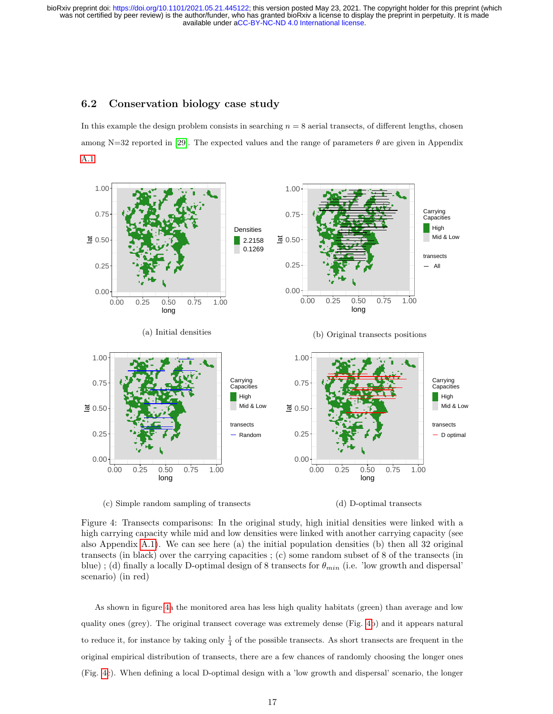#### 6.2 Conservation biology case study

In this example the design problem consists in searching  $n = 8$  aerial transects, of different lengths, chosen among N=32 reported in [\[29\]](#page-23-3). The expected values and the range of parameters  $\theta$  are given in Appendix [A.1.](#page-25-0)

<span id="page-16-0"></span>

(c) Simple random sampling of transects



Figure 4: Transects comparisons: In the original study, high initial densities were linked with a high carrying capacity while mid and low densities were linked with another carrying capacity (see also Appendix [A.1\)](#page-25-0). We can see here (a) the initial population densities (b) then all 32 original transects (in black) over the carrying capacities ; (c) some random subset of 8 of the transects (in blue); (d) finally a locally D-optimal design of 8 transects for  $\theta_{min}$  (i.e. 'low growth and dispersal' scenario) (in red)

As shown in figure [4a](#page-16-0) the monitored area has less high quality habitats (green) than average and low quality ones (grey). The original transect coverage was extremely dense (Fig. [4b](#page-16-0)) and it appears natural to reduce it, for instance by taking only  $\frac{1}{4}$  of the possible transects. As short transects are frequent in the original empirical distribution of transects, there are a few chances of randomly choosing the longer ones (Fig. [4c](#page-16-0)). When defining a local D-optimal design with a 'low growth and dispersal' scenario, the longer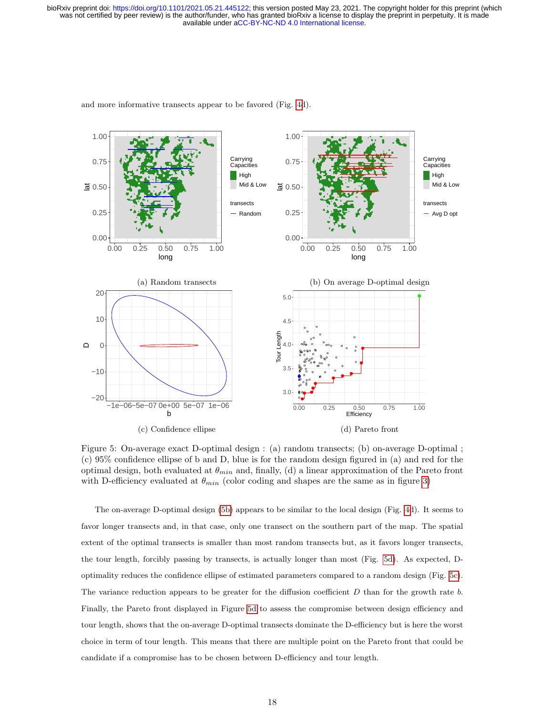<span id="page-17-0"></span>

and more informative transects appear to be favored (Fig. [4d](#page-16-0)).

Figure 5: On-average exact D-optimal design : (a) random transects; (b) on-average D-optimal ; (c) 95% confidence ellipse of b and D, blue is for the random design figured in (a) and red for the optimal design, both evaluated at  $\theta_{min}$  and, finally, (d) a linear approximation of the Pareto front with D-efficiency evaluated at  $\theta_{min}$  (color coding and shapes are the same as in figure [3\)](#page-15-0)

The on-average D-optimal design [\(5b\)](#page-17-0) appears to be similar to the local design (Fig. [4d](#page-16-0)). It seems to favor longer transects and, in that case, only one transect on the southern part of the map. The spatial extent of the optimal transects is smaller than most random transects but, as it favors longer transects, the tour length, forcibly passing by transects, is actually longer than most (Fig. [5d\)](#page-17-0). As expected, Doptimality reduces the confidence ellipse of estimated parameters compared to a random design (Fig. [5c\)](#page-17-0). The variance reduction appears to be greater for the diffusion coefficient  $D$  than for the growth rate  $b$ . Finally, the Pareto front displayed in Figure [5d](#page-17-0) to assess the compromise between design efficiency and tour length, shows that the on-average D-optimal transects dominate the D-efficiency but is here the worst choice in term of tour length. This means that there are multiple point on the Pareto front that could be candidate if a compromise has to be chosen between D-efficiency and tour length.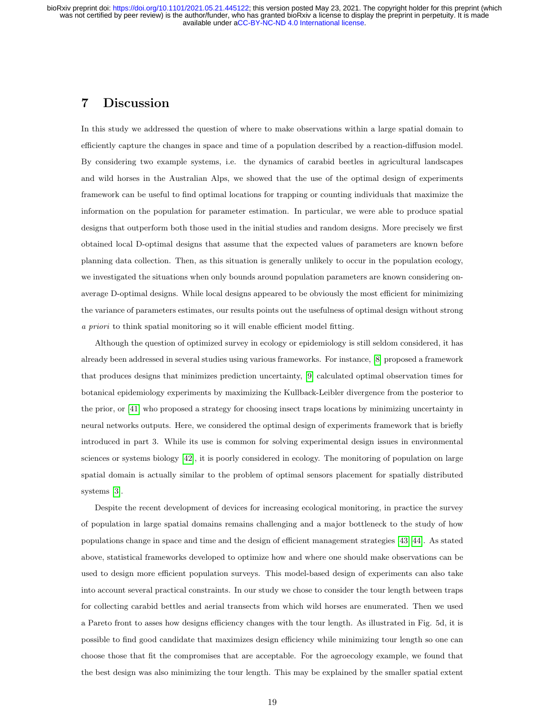#### 7 Discussion

In this study we addressed the question of where to make observations within a large spatial domain to efficiently capture the changes in space and time of a population described by a reaction-diffusion model. By considering two example systems, i.e. the dynamics of carabid beetles in agricultural landscapes and wild horses in the Australian Alps, we showed that the use of the optimal design of experiments framework can be useful to find optimal locations for trapping or counting individuals that maximize the information on the population for parameter estimation. In particular, we were able to produce spatial designs that outperform both those used in the initial studies and random designs. More precisely we first obtained local D-optimal designs that assume that the expected values of parameters are known before planning data collection. Then, as this situation is generally unlikely to occur in the population ecology, we investigated the situations when only bounds around population parameters are known considering onaverage D-optimal designs. While local designs appeared to be obviously the most efficient for minimizing the variance of parameters estimates, our results points out the usefulness of optimal design without strong a priori to think spatial monitoring so it will enable efficient model fitting.

Although the question of optimized survey in ecology or epidemiology is still seldom considered, it has already been addressed in several studies using various frameworks. For instance, [\[8\]](#page-21-7) proposed a framework that produces designs that minimizes prediction uncertainty, [\[9\]](#page-21-8) calculated optimal observation times for botanical epidemiology experiments by maximizing the Kullback-Leibler divergence from the posterior to the prior, or [\[41\]](#page-24-2) who proposed a strategy for choosing insect traps locations by minimizing uncertainty in neural networks outputs. Here, we considered the optimal design of experiments framework that is briefly introduced in part 3. While its use is common for solving experimental design issues in environmental sciences or systems biology [\[42\]](#page-24-3), it is poorly considered in ecology. The monitoring of population on large spatial domain is actually similar to the problem of optimal sensors placement for spatially distributed systems [\[3\]](#page-21-2).

Despite the recent development of devices for increasing ecological monitoring, in practice the survey of population in large spatial domains remains challenging and a major bottleneck to the study of how populations change in space and time and the design of efficient management strategies [\[43,](#page-24-4) [44\]](#page-24-5). As stated above, statistical frameworks developed to optimize how and where one should make observations can be used to design more efficient population surveys. This model-based design of experiments can also take into account several practical constraints. In our study we chose to consider the tour length between traps for collecting carabid bettles and aerial transects from which wild horses are enumerated. Then we used a Pareto front to asses how designs efficiency changes with the tour length. As illustrated in Fig. 5d, it is possible to find good candidate that maximizes design efficiency while minimizing tour length so one can choose those that fit the compromises that are acceptable. For the agroecology example, we found that the best design was also minimizing the tour length. This may be explained by the smaller spatial extent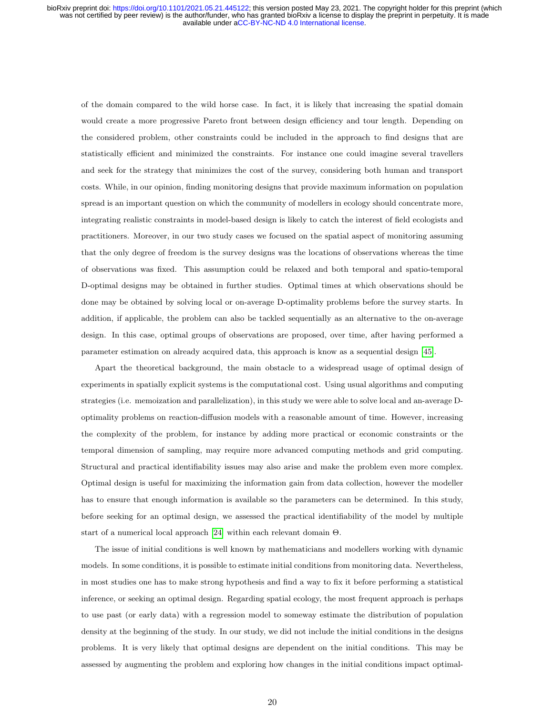of the domain compared to the wild horse case. In fact, it is likely that increasing the spatial domain would create a more progressive Pareto front between design efficiency and tour length. Depending on the considered problem, other constraints could be included in the approach to find designs that are statistically efficient and minimized the constraints. For instance one could imagine several travellers and seek for the strategy that minimizes the cost of the survey, considering both human and transport costs. While, in our opinion, finding monitoring designs that provide maximum information on population spread is an important question on which the community of modellers in ecology should concentrate more, integrating realistic constraints in model-based design is likely to catch the interest of field ecologists and practitioners. Moreover, in our two study cases we focused on the spatial aspect of monitoring assuming that the only degree of freedom is the survey designs was the locations of observations whereas the time of observations was fixed. This assumption could be relaxed and both temporal and spatio-temporal D-optimal designs may be obtained in further studies. Optimal times at which observations should be done may be obtained by solving local or on-average D-optimality problems before the survey starts. In addition, if applicable, the problem can also be tackled sequentially as an alternative to the on-average design. In this case, optimal groups of observations are proposed, over time, after having performed a parameter estimation on already acquired data, this approach is know as a sequential design [\[45\]](#page-24-6).

Apart the theoretical background, the main obstacle to a widespread usage of optimal design of experiments in spatially explicit systems is the computational cost. Using usual algorithms and computing strategies (i.e. memoization and parallelization), in this study we were able to solve local and an-average Doptimality problems on reaction-diffusion models with a reasonable amount of time. However, increasing the complexity of the problem, for instance by adding more practical or economic constraints or the temporal dimension of sampling, may require more advanced computing methods and grid computing. Structural and practical identifiability issues may also arise and make the problem even more complex. Optimal design is useful for maximizing the information gain from data collection, however the modeller has to ensure that enough information is available so the parameters can be determined. In this study, before seeking for an optimal design, we assessed the practical identifiability of the model by multiple start of a numerical local approach [\[24\]](#page-22-12) within each relevant domain Θ.

The issue of initial conditions is well known by mathematicians and modellers working with dynamic models. In some conditions, it is possible to estimate initial conditions from monitoring data. Nevertheless, in most studies one has to make strong hypothesis and find a way to fix it before performing a statistical inference, or seeking an optimal design. Regarding spatial ecology, the most frequent approach is perhaps to use past (or early data) with a regression model to someway estimate the distribution of population density at the beginning of the study. In our study, we did not include the initial conditions in the designs problems. It is very likely that optimal designs are dependent on the initial conditions. This may be assessed by augmenting the problem and exploring how changes in the initial conditions impact optimal-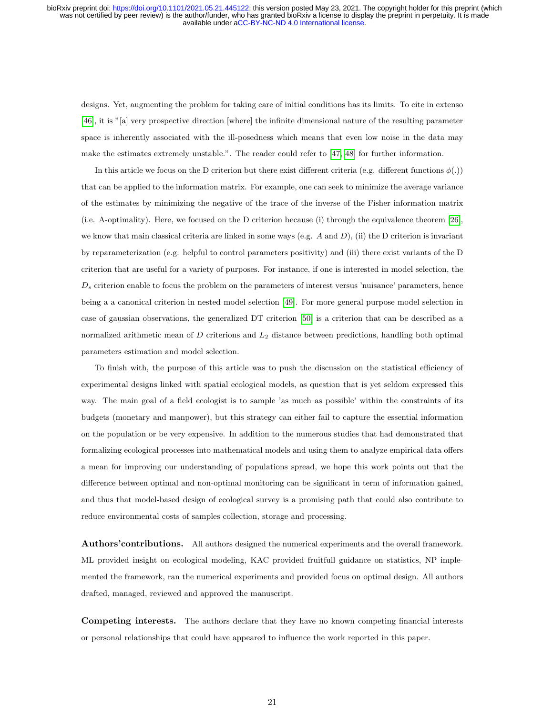designs. Yet, augmenting the problem for taking care of initial conditions has its limits. To cite in extenso [\[46\]](#page-24-7), it is "[a] very prospective direction [where] the infinite dimensional nature of the resulting parameter space is inherently associated with the ill-posedness which means that even low noise in the data may make the estimates extremely unstable.". The reader could refer to [\[47,](#page-24-8) [48\]](#page-24-9) for further information.

In this article we focus on the D criterion but there exist different criteria (e.g. different functions  $\phi(.)$ ) that can be applied to the information matrix. For example, one can seek to minimize the average variance of the estimates by minimizing the negative of the trace of the inverse of the Fisher information matrix (i.e. A-optimality). Here, we focused on the D criterion because (i) through the equivalence theorem [\[26\]](#page-23-0), we know that main classical criteria are linked in some ways (e.g.  $A$  and  $D$ ), (ii) the D criterion is invariant by reparameterization (e.g. helpful to control parameters positivity) and (iii) there exist variants of the D criterion that are useful for a variety of purposes. For instance, if one is interested in model selection, the  $D<sub>s</sub>$  criterion enable to focus the problem on the parameters of interest versus 'nuisance' parameters, hence being a a canonical criterion in nested model selection [\[49\]](#page-24-10). For more general purpose model selection in case of gaussian observations, the generalized DT criterion [\[50\]](#page-24-11) is a criterion that can be described as a normalized arithmetic mean of  $D$  criterions and  $L<sub>2</sub>$  distance between predictions, handling both optimal parameters estimation and model selection.

To finish with, the purpose of this article was to push the discussion on the statistical efficiency of experimental designs linked with spatial ecological models, as question that is yet seldom expressed this way. The main goal of a field ecologist is to sample 'as much as possible' within the constraints of its budgets (monetary and manpower), but this strategy can either fail to capture the essential information on the population or be very expensive. In addition to the numerous studies that had demonstrated that formalizing ecological processes into mathematical models and using them to analyze empirical data offers a mean for improving our understanding of populations spread, we hope this work points out that the difference between optimal and non-optimal monitoring can be significant in term of information gained, and thus that model-based design of ecological survey is a promising path that could also contribute to reduce environmental costs of samples collection, storage and processing.

Authors'contributions. All authors designed the numerical experiments and the overall framework. ML provided insight on ecological modeling, KAC provided fruitfull guidance on statistics, NP implemented the framework, ran the numerical experiments and provided focus on optimal design. All authors drafted, managed, reviewed and approved the manuscript.

Competing interests. The authors declare that they have no known competing financial interests or personal relationships that could have appeared to influence the work reported in this paper.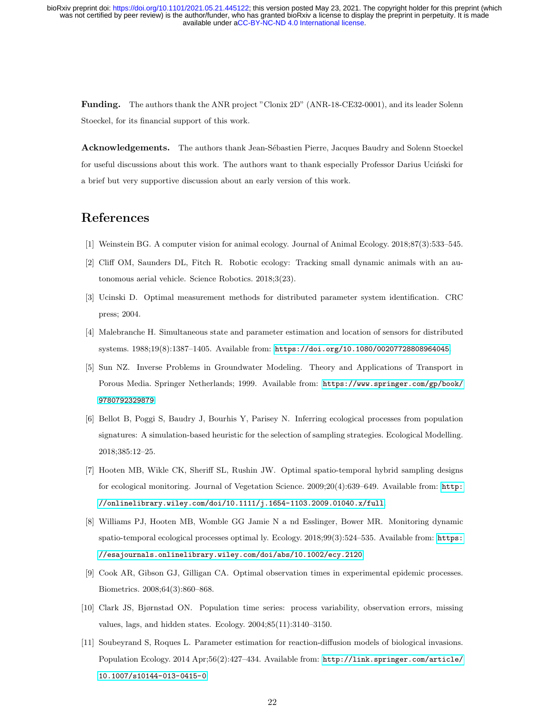Funding. The authors thank the ANR project "Clonix 2D" (ANR-18-CE32-0001), and its leader Solenn Stoeckel, for its financial support of this work.

Acknowledgements. The authors thank Jean-Sébastien Pierre, Jacques Baudry and Solenn Stoeckel for useful discussions about this work. The authors want to thank especially Professor Darius Uciński for a brief but very supportive discussion about an early version of this work.

## References

- <span id="page-21-0"></span>[1] Weinstein BG. A computer vision for animal ecology. Journal of Animal Ecology. 2018;87(3):533–545.
- <span id="page-21-1"></span>[2] Cliff OM, Saunders DL, Fitch R. Robotic ecology: Tracking small dynamic animals with an autonomous aerial vehicle. Science Robotics. 2018;3(23).
- <span id="page-21-2"></span>[3] Ucinski D. Optimal measurement methods for distributed parameter system identification. CRC press; 2004.
- <span id="page-21-3"></span>[4] Malebranche H. Simultaneous state and parameter estimation and location of sensors for distributed systems. 1988;19(8):1387–1405. Available from: <https://doi.org/10.1080/00207728808964045>.
- <span id="page-21-4"></span>[5] Sun NZ. Inverse Problems in Groundwater Modeling. Theory and Applications of Transport in Porous Media. Springer Netherlands; 1999. Available from: [https://www.springer.com/gp/book/](https://www.springer.com/gp/book/9780792329879) [9780792329879](https://www.springer.com/gp/book/9780792329879).
- <span id="page-21-5"></span>[6] Bellot B, Poggi S, Baudry J, Bourhis Y, Parisey N. Inferring ecological processes from population signatures: A simulation-based heuristic for the selection of sampling strategies. Ecological Modelling. 2018;385:12–25.
- <span id="page-21-6"></span>[7] Hooten MB, Wikle CK, Sheriff SL, Rushin JW. Optimal spatio-temporal hybrid sampling designs for ecological monitoring. Journal of Vegetation Science. 2009;20(4):639–649. Available from: [http:](http://onlinelibrary.wiley.com/doi/10.1111/j.1654-1103.2009.01040.x/full) [//onlinelibrary.wiley.com/doi/10.1111/j.1654-1103.2009.01040.x/full](http://onlinelibrary.wiley.com/doi/10.1111/j.1654-1103.2009.01040.x/full).
- <span id="page-21-7"></span>[8] Williams PJ, Hooten MB, Womble GG Jamie N a nd Esslinger, Bower MR. Monitoring dynamic spatio-temporal ecological processes optimal ly. Ecology. 2018;99(3):524–535. Available from: [https:](https://esajournals.onlinelibrary.wiley.com/doi/abs/10.1002/ecy.2 120) [//esajournals.onlinelibrary.wiley.com/doi/abs/10.1002/ecy.2120](https://esajournals.onlinelibrary.wiley.com/doi/abs/10.1002/ecy.2 120).
- <span id="page-21-8"></span>[9] Cook AR, Gibson GJ, Gilligan CA. Optimal observation times in experimental epidemic processes. Biometrics. 2008;64(3):860–868.
- <span id="page-21-9"></span>[10] Clark JS, Bjørnstad ON. Population time series: process variability, observation errors, missing values, lags, and hidden states. Ecology. 2004;85(11):3140–3150.
- <span id="page-21-10"></span>[11] Soubeyrand S, Roques L. Parameter estimation for reaction-diffusion models of biological invasions. Population Ecology. 2014 Apr;56(2):427–434. Available from: [http://link.springer.com/article/](http://link.springer.com/article/10.1007/s10144-013-0415-0) [10.1007/s10144-013-0415-0](http://link.springer.com/article/10.1007/s10144-013-0415-0).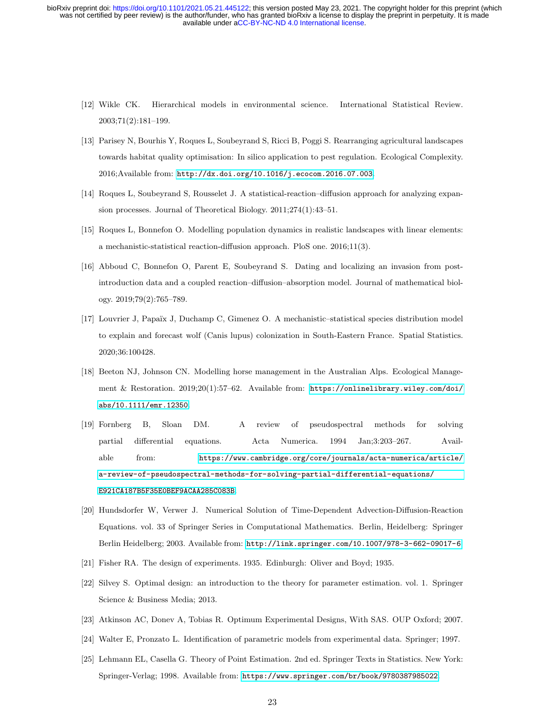- <span id="page-22-0"></span>[12] Wikle CK. Hierarchical models in environmental science. International Statistical Review. 2003;71(2):181–199.
- <span id="page-22-1"></span>[13] Parisey N, Bourhis Y, Roques L, Soubeyrand S, Ricci B, Poggi S. Rearranging agricultural landscapes towards habitat quality optimisation: In silico application to pest regulation. Ecological Complexity. 2016;Available from: <http://dx.doi.org/10.1016/j.ecocom.2016.07.003>.
- <span id="page-22-2"></span>[14] Roques L, Soubeyrand S, Rousselet J. A statistical-reaction–diffusion approach for analyzing expansion processes. Journal of Theoretical Biology. 2011;274(1):43–51.
- <span id="page-22-3"></span>[15] Roques L, Bonnefon O. Modelling population dynamics in realistic landscapes with linear elements: a mechanistic-statistical reaction-diffusion approach. PloS one. 2016;11(3).
- <span id="page-22-4"></span>[16] Abboud C, Bonnefon O, Parent E, Soubeyrand S. Dating and localizing an invasion from postintroduction data and a coupled reaction–diffusion–absorption model. Journal of mathematical biology. 2019;79(2):765–789.
- <span id="page-22-5"></span>[17] Louvrier J, Papaïx J, Duchamp C, Gimenez O. A mechanistic–statistical species distribution model to explain and forecast wolf (Canis lupus) colonization in South-Eastern France. Spatial Statistics. 2020;36:100428.
- <span id="page-22-6"></span>[18] Beeton NJ, Johnson CN. Modelling horse management in the Australian Alps. Ecological Management & Restoration. 2019;20(1):57–62. Available from: [https://onlinelibrary.wiley.com/doi/](https://onlinelibrary.wiley.com/doi/abs/10.1111/emr.12350) [abs/10.1111/emr.12350](https://onlinelibrary.wiley.com/doi/abs/10.1111/emr.12350).
- <span id="page-22-7"></span>[19] Fornberg B, Sloan DM. A review of pseudospectral methods for solving partial differential equations. Acta Numerica. 1994 Jan;3:203–267. Available from: [https://www.cambridge.org/core/journals/acta-numerica/article/](https://www.cambridge.org/core/journals/acta-numerica/article/a-review-of-pseudospectral-methods-for-solving-partial-differential-equations/E921CA187B5F35E0BEF9ACAA285C083B) [a-review-of-pseudospectral-methods-for-solving-partial-differential-equations/](https://www.cambridge.org/core/journals/acta-numerica/article/a-review-of-pseudospectral-methods-for-solving-partial-differential-equations/E921CA187B5F35E0BEF9ACAA285C083B) [E921CA187B5F35E0BEF9ACAA285C083B](https://www.cambridge.org/core/journals/acta-numerica/article/a-review-of-pseudospectral-methods-for-solving-partial-differential-equations/E921CA187B5F35E0BEF9ACAA285C083B).
- <span id="page-22-8"></span>[20] Hundsdorfer W, Verwer J. Numerical Solution of Time-Dependent Advection-Diffusion-Reaction Equations. vol. 33 of Springer Series in Computational Mathematics. Berlin, Heidelberg: Springer Berlin Heidelberg; 2003. Available from: <http://link.springer.com/10.1007/978-3-662-09017-6>.
- <span id="page-22-10"></span><span id="page-22-9"></span>[21] Fisher RA. The design of experiments. 1935. Edinburgh: Oliver and Boyd; 1935.
- [22] Silvey S. Optimal design: an introduction to the theory for parameter estimation. vol. 1. Springer Science & Business Media; 2013.
- <span id="page-22-12"></span><span id="page-22-11"></span>[23] Atkinson AC, Donev A, Tobias R. Optimum Experimental Designs, With SAS. OUP Oxford; 2007.
- <span id="page-22-13"></span>[24] Walter E, Pronzato L. Identification of parametric models from experimental data. Springer; 1997.
- [25] Lehmann EL, Casella G. Theory of Point Estimation. 2nd ed. Springer Texts in Statistics. New York: Springer-Verlag; 1998. Available from: <https://www.springer.com/br/book/9780387985022>.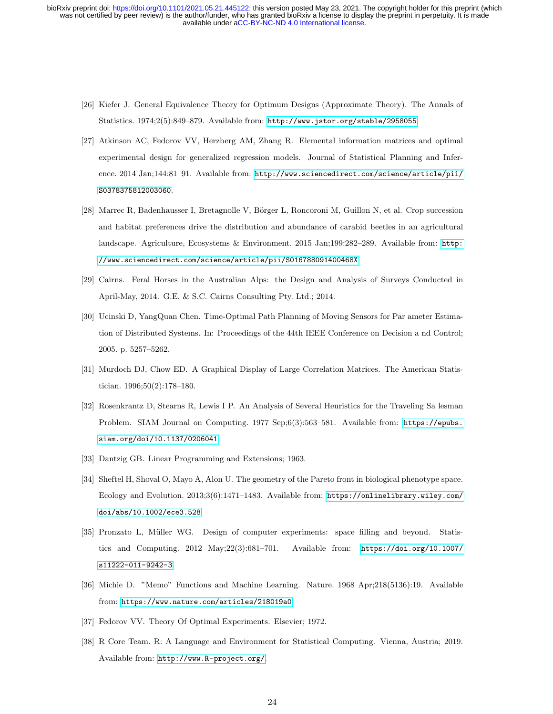- <span id="page-23-0"></span>[26] Kiefer J. General Equivalence Theory for Optimum Designs (Approximate Theory). The Annals of Statistics. 1974;2(5):849–879. Available from: <http://www.jstor.org/stable/2958055>.
- <span id="page-23-1"></span>[27] Atkinson AC, Fedorov VV, Herzberg AM, Zhang R. Elemental information matrices and optimal experimental design for generalized regression models. Journal of Statistical Planning and Inference. 2014 Jan;144:81–91. Available from: [http://www.sciencedirect.com/science/article/pii/](http://www.sciencedirect.com/science/article/pii/S0378375812003060) [S0378375812003060](http://www.sciencedirect.com/science/article/pii/S0378375812003060).
- <span id="page-23-2"></span>[28] Marrec R, Badenhausser I, Bretagnolle V, Börger L, Roncoroni M, Guillon N, et al. Crop succession and habitat preferences drive the distribution and abundance of carabid beetles in an agricultural landscape. Agriculture, Ecosystems & Environment. 2015 Jan;199:282–289. Available from: [http:](http://www.sciencedirect.com/science/article/pii/S016788091400468X) [//www.sciencedirect.com/science/article/pii/S016788091400468X](http://www.sciencedirect.com/science/article/pii/S016788091400468X).
- <span id="page-23-3"></span>[29] Cairns. Feral Horses in the Australian Alps: the Design and Analysis of Surveys Conducted in April-May, 2014. G.E. & S.C. Cairns Consulting Pty. Ltd.; 2014.
- <span id="page-23-4"></span>[30] Ucinski D, YangQuan Chen. Time-Optimal Path Planning of Moving Sensors for Par ameter Estimation of Distributed Systems. In: Proceedings of the 44th IEEE Conference on Decision a nd Control; 2005. p. 5257–5262.
- <span id="page-23-5"></span>[31] Murdoch DJ, Chow ED. A Graphical Display of Large Correlation Matrices. The American Statistician. 1996;50(2):178–180.
- <span id="page-23-6"></span>[32] Rosenkrantz D, Stearns R, Lewis I P. An Analysis of Several Heuristics for the Traveling Sa lesman Problem. SIAM Journal on Computing. 1977 Sep;6(3):563–581. Available from: [https://epubs.](https://epubs.siam.org/doi/10.1137/0206041) [siam.org/doi/10.1137/0206041](https://epubs.siam.org/doi/10.1137/0206041).
- <span id="page-23-8"></span><span id="page-23-7"></span>[33] Dantzig GB. Linear Programming and Extensions; 1963.
- [34] Sheftel H, Shoval O, Mayo A, Alon U. The geometry of the Pareto front in biological phenotype space. Ecology and Evolution. 2013;3(6):1471–1483. Available from: [https://onlinelibrary.wiley.com/](https://onlinelibrary.wiley.com/doi/abs/10.1002/ece3.528) [doi/abs/10.1002/ece3.528](https://onlinelibrary.wiley.com/doi/abs/10.1002/ece3.528).
- <span id="page-23-9"></span>[35] Pronzato L, M¨uller WG. Design of computer experiments: space filling and beyond. Statistics and Computing. 2012 May;22(3):681–701. Available from: [https://doi.org/10.1007/](https://doi.org/10.1007/s11222-011-9242-3) [s11222-011-9242-3](https://doi.org/10.1007/s11222-011-9242-3).
- <span id="page-23-10"></span>[36] Michie D. "Memo" Functions and Machine Learning. Nature. 1968 Apr;218(5136):19. Available from: <https://www.nature.com/articles/218019a0>.
- <span id="page-23-11"></span>[37] Fedorov VV. Theory Of Optimal Experiments. Elsevier; 1972.
- <span id="page-23-12"></span>[38] R Core Team. R: A Language and Environment for Statistical Computing. Vienna, Austria; 2019. Available from: <http://www.R-project.org/>.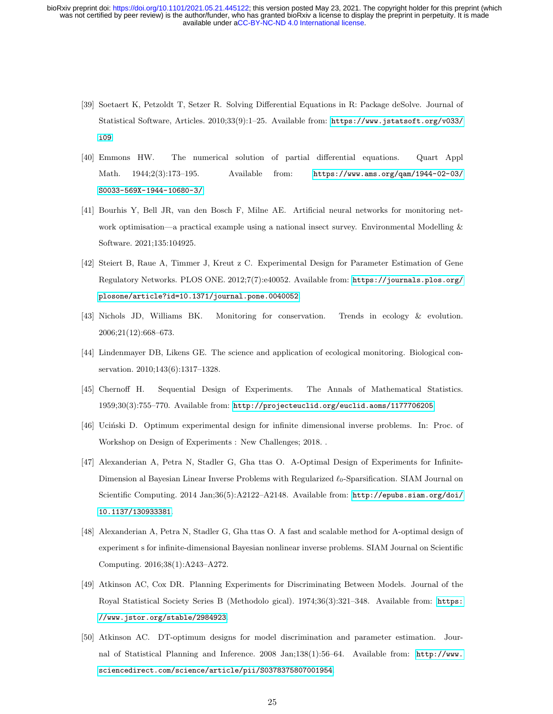- <span id="page-24-0"></span>[39] Soetaert K, Petzoldt T, Setzer R. Solving Differential Equations in R: Package deSolve. Journal of Statistical Software, Articles. 2010;33(9):1–25. Available from: [https://www.jstatsoft.org/v033/](https://www.jstatsoft.org/v033/i09) [i09](https://www.jstatsoft.org/v033/i09).
- <span id="page-24-1"></span>[40] Emmons HW. The numerical solution of partial differential equations. Quart Appl Math. 1944;2(3):173–195. Available from: [https://www.ams.org/qam/1944-02-03/](https://www.ams.org/qam/1944-02-03/S0033-569X-1944-10680-3/) [S0033-569X-1944-10680-3/](https://www.ams.org/qam/1944-02-03/S0033-569X-1944-10680-3/).
- <span id="page-24-2"></span>[41] Bourhis Y, Bell JR, van den Bosch F, Milne AE. Artificial neural networks for monitoring network optimisation—a practical example using a national insect survey. Environmental Modelling & Software. 2021;135:104925.
- <span id="page-24-3"></span>[42] Steiert B, Raue A, Timmer J, Kreut z C. Experimental Design for Parameter Estimation of Gene Regulatory Networks. PLOS ONE. 2012;7(7):e40052. Available from: [https://journals.plos.org/](https://journals.plos.org/plosone/article?id=10.1371/journal.pone .0040052) [plosone/article?id=10.1371/journal.pone.0040052](https://journals.plos.org/plosone/article?id=10.1371/journal.pone .0040052).
- <span id="page-24-4"></span>[43] Nichols JD, Williams BK. Monitoring for conservation. Trends in ecology & evolution. 2006;21(12):668–673.
- <span id="page-24-5"></span>[44] Lindenmayer DB, Likens GE. The science and application of ecological monitoring. Biological conservation. 2010;143(6):1317–1328.
- <span id="page-24-6"></span>[45] Chernoff H. Sequential Design of Experiments. The Annals of Mathematical Statistics. 1959;30(3):755–770. Available from: <http://projecteuclid.org/euclid.aoms/1177706205>.
- <span id="page-24-7"></span>[46] Ucinski D. Optimum experimental design for infinite dimensional inverse problems. In: Proc. of Workshop on Design of Experiments : New Challenges; 2018. .
- <span id="page-24-8"></span>[47] Alexanderian A, Petra N, Stadler G, Gha ttas O. A-Optimal Design of Experiments for Infinite-Dimension al Bayesian Linear Inverse Problems with Regularized  $\ell_0$ -Sparsification. SIAM Journal on Scientific Computing. 2014 Jan;36(5):A2122–A2148. Available from: [http://epubs.siam.org/doi/](http://epubs.siam.org/doi/10.1137/130933381) [10.1137/130933381](http://epubs.siam.org/doi/10.1137/130933381).
- <span id="page-24-9"></span>[48] Alexanderian A, Petra N, Stadler G, Gha ttas O. A fast and scalable method for A-optimal design of experiment s for infinite-dimensional Bayesian nonlinear inverse problems. SIAM Journal on Scientific Computing. 2016;38(1):A243–A272.
- <span id="page-24-10"></span>[49] Atkinson AC, Cox DR. Planning Experiments for Discriminating Between Models. Journal of the Royal Statistical Society Series B (Methodolo gical). 1974;36(3):321–348. Available from: [https:](https://www.jstor.org/stable/2984923) [//www.jstor.org/stable/2984923](https://www.jstor.org/stable/2984923).
- <span id="page-24-11"></span>[50] Atkinson AC. DT-optimum designs for model discrimination and parameter estimation. Journal of Statistical Planning and Inference. 2008 Jan;138(1):56–64. Available from: [http://www.](http://www.sciencedirect.com/science/article/pii/S0378375807001954) [sciencedirect.com/science/article/pii/S0378375807001954](http://www.sciencedirect.com/science/article/pii/S0378375807001954).